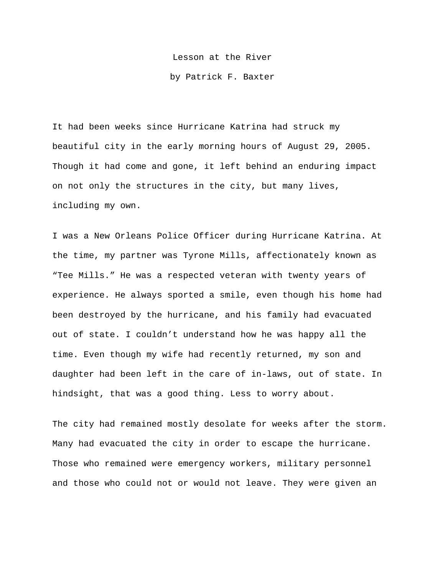Lesson at the River

by Patrick F. Baxter

It had been weeks since Hurricane Katrina had struck my beautiful city in the early morning hours of August 29, 2005. Though it had come and gone, it left behind an enduring impact on not only the structures in the city, but many lives, including my own.

I was a New Orleans Police Officer during Hurricane Katrina. At the time, my partner was Tyrone Mills, affectionately known as "Tee Mills." He was a respected veteran with twenty years of experience. He always sported a smile, even though his home had been destroyed by the hurricane, and his family had evacuated out of state. I couldn't understand how he was happy all the time. Even though my wife had recently returned, my son and daughter had been left in the care of in-laws, out of state. In hindsight, that was a good thing. Less to worry about.

The city had remained mostly desolate for weeks after the storm. Many had evacuated the city in order to escape the hurricane. Those who remained were emergency workers, military personnel and those who could not or would not leave. They were given an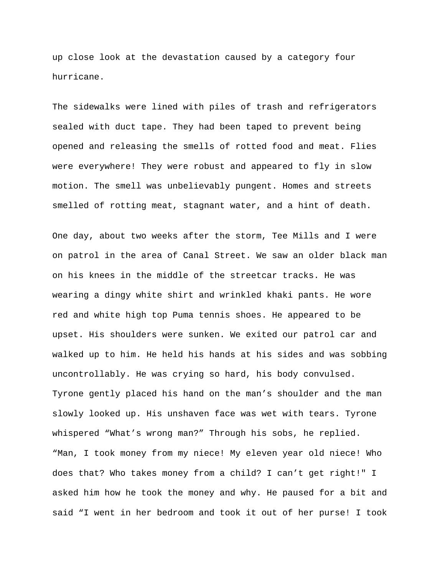up close look at the devastation caused by a category four hurricane.

The sidewalks were lined with piles of trash and refrigerators sealed with duct tape. They had been taped to prevent being opened and releasing the smells of rotted food and meat. Flies were everywhere! They were robust and appeared to fly in slow motion. The smell was unbelievably pungent. Homes and streets smelled of rotting meat, stagnant water, and a hint of death.

One day, about two weeks after the storm, Tee Mills and I were on patrol in the area of Canal Street. We saw an older black man on his knees in the middle of the streetcar tracks. He was wearing a dingy white shirt and wrinkled khaki pants. He wore red and white high top Puma tennis shoes. He appeared to be upset. His shoulders were sunken. We exited our patrol car and walked up to him. He held his hands at his sides and was sobbing uncontrollably. He was crying so hard, his body convulsed. Tyrone gently placed his hand on the man's shoulder and the man slowly looked up. His unshaven face was wet with tears. Tyrone whispered "What's wrong man?" Through his sobs, he replied. "Man, I took money from my niece! My eleven year old niece! Who does that? Who takes money from a child? I can't get right!" I asked him how he took the money and why. He paused for a bit and said "I went in her bedroom and took it out of her purse! I took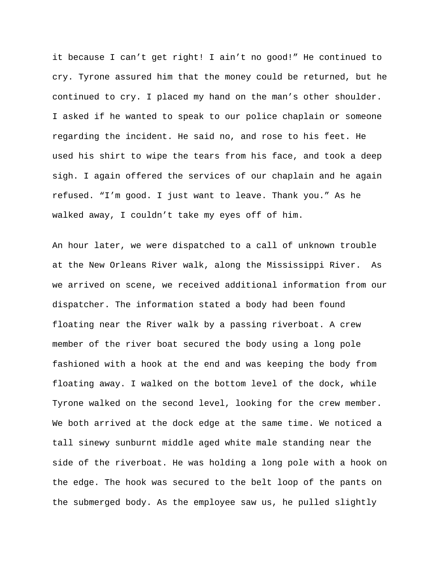it because I can't get right! I ain't no good!" He continued to cry. Tyrone assured him that the money could be returned, but he continued to cry. I placed my hand on the man's other shoulder. I asked if he wanted to speak to our police chaplain or someone regarding the incident. He said no, and rose to his feet. He used his shirt to wipe the tears from his face, and took a deep sigh. I again offered the services of our chaplain and he again refused. "I'm good. I just want to leave. Thank you." As he walked away, I couldn't take my eyes off of him.

An hour later, we were dispatched to a call of unknown trouble at the New Orleans River walk, along the Mississippi River. As we arrived on scene, we received additional information from our dispatcher. The information stated a body had been found floating near the River walk by a passing riverboat. A crew member of the river boat secured the body using a long pole fashioned with a hook at the end and was keeping the body from floating away. I walked on the bottom level of the dock, while Tyrone walked on the second level, looking for the crew member. We both arrived at the dock edge at the same time. We noticed a tall sinewy sunburnt middle aged white male standing near the side of the riverboat. He was holding a long pole with a hook on the edge. The hook was secured to the belt loop of the pants on the submerged body. As the employee saw us, he pulled slightly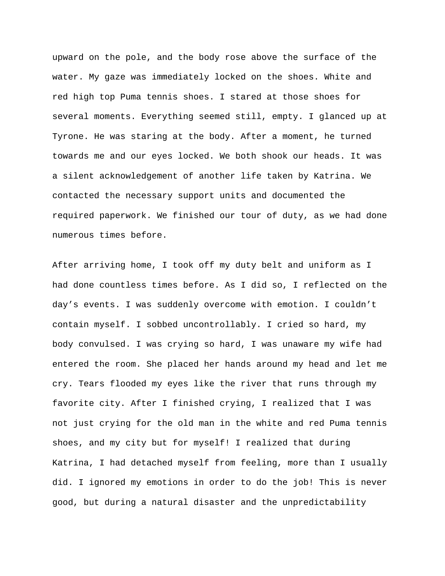upward on the pole, and the body rose above the surface of the water. My gaze was immediately locked on the shoes. White and red high top Puma tennis shoes. I stared at those shoes for several moments. Everything seemed still, empty. I glanced up at Tyrone. He was staring at the body. After a moment, he turned towards me and our eyes locked. We both shook our heads. It was a silent acknowledgement of another life taken by Katrina. We contacted the necessary support units and documented the required paperwork. We finished our tour of duty, as we had done numerous times before.

After arriving home, I took off my duty belt and uniform as I had done countless times before. As I did so, I reflected on the day's events. I was suddenly overcome with emotion. I couldn't contain myself. I sobbed uncontrollably. I cried so hard, my body convulsed. I was crying so hard, I was unaware my wife had entered the room. She placed her hands around my head and let me cry. Tears flooded my eyes like the river that runs through my favorite city. After I finished crying, I realized that I was not just crying for the old man in the white and red Puma tennis shoes, and my city but for myself! I realized that during Katrina, I had detached myself from feeling, more than I usually did. I ignored my emotions in order to do the job! This is never good, but during a natural disaster and the unpredictability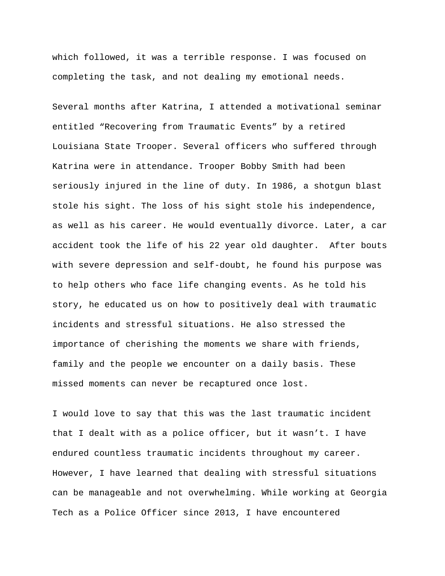which followed, it was a terrible response. I was focused on completing the task, and not dealing my emotional needs.

Several months after Katrina, I attended a motivational seminar entitled "Recovering from Traumatic Events" by a retired Louisiana State Trooper. Several officers who suffered through Katrina were in attendance. Trooper Bobby Smith had been seriously injured in the line of duty. In 1986, a shotgun blast stole his sight. The loss of his sight stole his independence, as well as his career. He would eventually divorce. Later, a car accident took the life of his 22 year old daughter. After bouts with severe depression and self-doubt, he found his purpose was to help others who face life changing events. As he told his story, he educated us on how to positively deal with traumatic incidents and stressful situations. He also stressed the importance of cherishing the moments we share with friends, family and the people we encounter on a daily basis. These missed moments can never be recaptured once lost.

I would love to say that this was the last traumatic incident that I dealt with as a police officer, but it wasn't. I have endured countless traumatic incidents throughout my career. However, I have learned that dealing with stressful situations can be manageable and not overwhelming. While working at Georgia Tech as a Police Officer since 2013, I have encountered